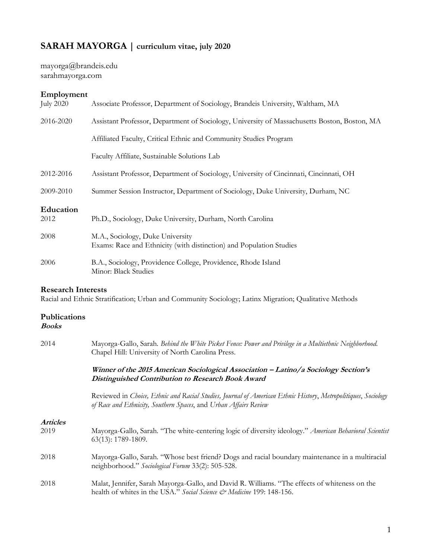# **SARAH MAYORGA | curriculum vitae, july 2020**

mayorga@brandeis.edu sarahmayorga.com

# **Employment**

| <b>July 2020</b> | Associate Professor, Department of Sociology, Brandeis University, Waltham, MA                          |
|------------------|---------------------------------------------------------------------------------------------------------|
| 2016-2020        | Assistant Professor, Department of Sociology, University of Massachusetts Boston, Boston, MA            |
|                  | Affiliated Faculty, Critical Ethnic and Community Studies Program                                       |
|                  | Faculty Affiliate, Sustainable Solutions Lab                                                            |
| 2012-2016        | Assistant Professor, Department of Sociology, University of Cincinnati, Cincinnati, OH                  |
| 2009-2010        | Summer Session Instructor, Department of Sociology, Duke University, Durham, NC                         |
| Education        |                                                                                                         |
| 2012             | Ph.D., Sociology, Duke University, Durham, North Carolina                                               |
| 2008             | M.A., Sociology, Duke University<br>Exams: Race and Ethnicity (with distinction) and Population Studies |
| 2006             | B.A., Sociology, Providence College, Providence, Rhode Island<br>Minor: Black Studies                   |
|                  |                                                                                                         |

### **Research Interests**

Racial and Ethnic Stratification; Urban and Community Sociology; Latinx Migration; Qualitative Methods

# **Publications**

# **Books**

| 2014            | Mayorga-Gallo, Sarah. Behind the White Picket Fence: Power and Privilege in a Multiethnic Neighborhood.<br>Chapel Hill: University of North Carolina Press.                       |
|-----------------|-----------------------------------------------------------------------------------------------------------------------------------------------------------------------------------|
|                 | Winner of the 2015 American Sociological Association – Latino/a Sociology Section's<br>Distinguished Contribution to Research Book Award                                          |
|                 | Reviewed in Choice, Ethnic and Racial Studies, Journal of American Ethnic History, Metropolitiques, Sociology<br>of Race and Ethnicity, Southern Spaces, and Urban Affairs Review |
| <b>Articles</b> |                                                                                                                                                                                   |
| 2019            | Mayorga-Gallo, Sarah. "The white-centering logic of diversity ideology." American Behavioral Scientist<br>63(13): 1789-1809.                                                      |
| 2018            | Mayorga-Gallo, Sarah. "Whose best friend? Dogs and racial boundary maintenance in a multiracial<br>neighborhood." Sociological Forum 33(2): 505-528.                              |
| 2018            | Malat, Jennifer, Sarah Mayorga-Gallo, and David R. Williams. "The effects of whiteness on the<br>health of whites in the USA." Social Science & Medicine 199: 148-156.            |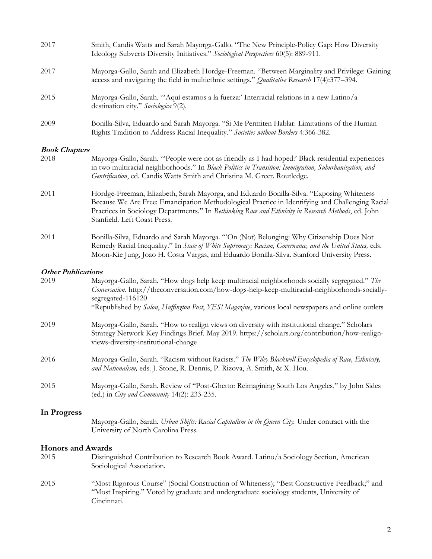| 2017                 | Smith, Candis Watts and Sarah Mayorga-Gallo. "The New Principle-Policy Gap: How Diversity<br>Ideology Subverts Diversity Initiatives." Sociological Perspectives 60(5): 889-911.                                                                                                        |
|----------------------|-----------------------------------------------------------------------------------------------------------------------------------------------------------------------------------------------------------------------------------------------------------------------------------------|
| 2017                 | Mayorga-Gallo, Sarah and Elizabeth Hordge-Freeman. "Between Marginality and Privilege: Gaining<br>access and navigating the field in multiethnic settings." <i>Qualitative Research</i> 17(4):377–394.                                                                                  |
| 2015                 | Mayorga-Gallo, Sarah. "'Aquí estamos a la fuerza:' Interracial relations in a new Latino/a<br>destination city." Sociologica 9(2).                                                                                                                                                      |
| 2009                 | Bonilla-Silva, Eduardo and Sarah Mayorga. "Si Me Permiten Hablar: Limitations of the Human<br>Rights Tradition to Address Racial Inequality." Societies without Borders 4:366-382.                                                                                                      |
| <b>Book Chapters</b> |                                                                                                                                                                                                                                                                                         |
| 2018                 | Mayorga-Gallo, Sarah. "People were not as friendly as I had hoped:' Black residential experiences<br>in two multiracial neighborhoods." In Black Politics in Transition: Immigration, Suburbanization, and<br>Gentrification, ed. Candis Watts Smith and Christina M. Greer. Routledge. |
| 2011                 | Hordge-Freeman, Elizabeth, Sarah Mayorga, and Eduardo Bonilla-Silva. "Exposing Whiteness<br>Because We Are Free: Emancipation Methodological Practice in Identifying and Challenging Racial                                                                                             |

2011 Bonilla-Silva, Eduardo and Sarah Mayorga. "'On (Not) Belonging: Why Citizenship Does Not Remedy Racial Inequality." In *State of White Supremacy: Racism, Governance, and the United States, eds.* Moon-Kie Jung, Joao H. Costa Vargas, and Eduardo Bonilla-Silva. Stanford University Press.

Practices in Sociology Departments." In *Rethinking Race and Ethnicity in Research Methods*, ed. John

#### **Other Publications**

Stanfield. Left Coast Press.

| 2019        | Mayorga-Gallo, Sarah. "How dogs help keep multiracial neighborhoods socially segregated." The<br>Conversation. http://theconversation.com/how-dogs-help-keep-multiracial-neighborhoods-socially-<br>segregated-116120<br>*Republished by Salon, Huffington Post, YES! Magazine, various local newspapers and online outlets |
|-------------|-----------------------------------------------------------------------------------------------------------------------------------------------------------------------------------------------------------------------------------------------------------------------------------------------------------------------------|
| 2019        | Mayorga-Gallo, Sarah. "How to realign views on diversity with institutional change." Scholars                                                                                                                                                                                                                               |
|             | Strategy Network Key Findings Brief. May 2019. https://scholars.org/contribution/how-realign-<br>views-diversity-institutional-change                                                                                                                                                                                       |
| 2016        | Mayorga-Gallo, Sarah. "Racism without Racists." The Wiley Blackwell Encyclopedia of Race, Ethnicity,<br>and Nationalism, eds. J. Stone, R. Dennis, P. Rizova, A. Smith, & X. Hou.                                                                                                                                           |
| 2015        | Mayorga-Gallo, Sarah. Review of "Post-Ghetto: Reimagining South Los Angeles," by John Sides<br>(ed.) in City and Community $14(2)$ : 233-235.                                                                                                                                                                               |
| In Progress |                                                                                                                                                                                                                                                                                                                             |
|             | Mayorga-Gallo, Sarah. Urban Shifts: Racial Capitalism in the Queen City. Under contract with the<br>University of North Carolina Press.                                                                                                                                                                                     |

### **Honors and Awards**

- 2015 Distinguished Contribution to Research Book Award. Latino/a Sociology Section, American Sociological Association.
- 2015 "Most Rigorous Course" (Social Construction of Whiteness); "Best Constructive Feedback;" and "Most Inspiring." Voted by graduate and undergraduate sociology students, University of Cincinnati.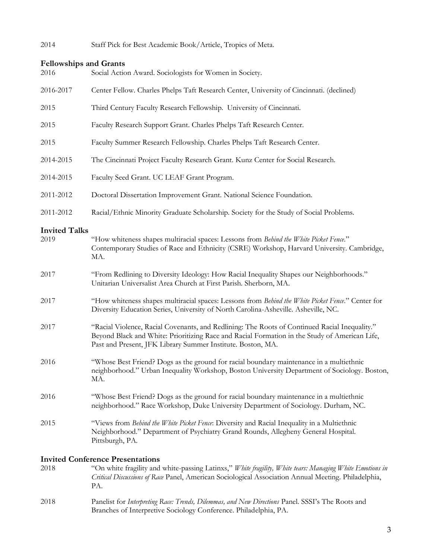# 2014 Staff Pick for Best Academic Book/Article, Tropics of Meta.

### **Fellowships and Grants**

| 2016      | Social Action Award. Sociologists for Women in Society.                                  |
|-----------|------------------------------------------------------------------------------------------|
| 2016-2017 | Center Fellow. Charles Phelps Taft Research Center, University of Cincinnati. (declined) |
| 2015      | Third Century Faculty Research Fellowship. University of Cincinnati.                     |
| 2015      | Faculty Research Support Grant. Charles Phelps Taft Research Center.                     |
| 2015      | Faculty Summer Research Fellowship. Charles Phelps Taft Research Center.                 |
| 2014-2015 | The Cincinnati Project Faculty Research Grant. Kunz Center for Social Research.          |
| 2014-2015 | Faculty Seed Grant. UC LEAF Grant Program.                                               |
| 2011-2012 | Doctoral Dissertation Improvement Grant. National Science Foundation.                    |
| 2011-2012 | Racial/Ethnic Minority Graduate Scholarship. Society for the Study of Social Problems.   |

# **Invited Talks**

| 2019 | "How whiteness shapes multiracial spaces: Lessons from Behind the White Picket Fence."<br>Contemporary Studies of Race and Ethnicity (CSRE) Workshop, Harvard University. Cambridge,<br>MA.                                                                       |
|------|-------------------------------------------------------------------------------------------------------------------------------------------------------------------------------------------------------------------------------------------------------------------|
| 2017 | "From Redlining to Diversity Ideology: How Racial Inequality Shapes our Neighborhoods."<br>Unitarian Universalist Area Church at First Parish. Sherborn, MA.                                                                                                      |
| 2017 | "How whiteness shapes multiracial spaces: Lessons from Behind the White Picket Fence." Center for<br>Diversity Education Series, University of North Carolina-Asheville. Asheville, NC.                                                                           |
| 2017 | "Racial Violence, Racial Covenants, and Redlining: The Roots of Continued Racial Inequality."<br>Beyond Black and White: Prioritizing Race and Racial Formation in the Study of American Life,<br>Past and Present, JFK Library Summer Institute. Boston, MA.     |
| 2016 | "Whose Best Friend? Dogs as the ground for racial boundary maintenance in a multiethnic<br>neighborhood." Urban Inequality Workshop, Boston University Department of Sociology. Boston,<br>MA.                                                                    |
| 2016 | "Whose Best Friend? Dogs as the ground for racial boundary maintenance in a multiethnic<br>neighborhood." Race Workshop, Duke University Department of Sociology. Durham, NC.                                                                                     |
| 2015 | "Views from Behind the White Picket Fence: Diversity and Racial Inequality in a Multiethnic<br>Neighborhood." Department of Psychiatry Grand Rounds, Allegheny General Hospital.<br>Pittsburgh, PA.                                                               |
| 2018 | <b>Invited Conference Presentations</b><br>"On white fragility and white-passing Latinxs," White fragility, White tears: Managing White Emotions in<br>Critical Discussions of Race Panel, American Sociological Association Annual Meeting. Philadelphia,<br>PA. |

2018 Panelist for *Interpreting Race: Trends, Dilemmas, and New Directions* Panel. SSSI's The Roots and Branches of Interpretive Sociology Conference. Philadelphia, PA.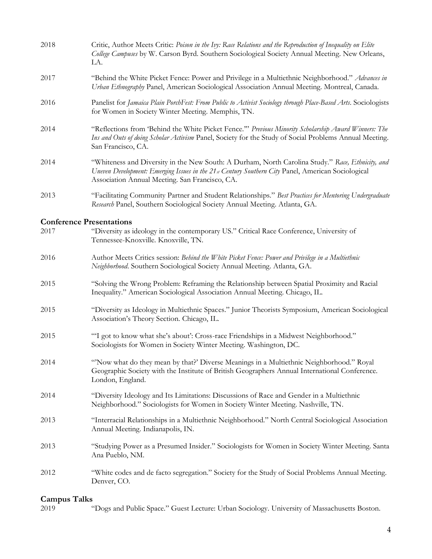| 2018 | Critic, Author Meets Critic: Poison in the Ivy: Race Relations and the Reproduction of Inequality on Elite<br>College Campuses by W. Carson Byrd. Southern Sociological Society Annual Meeting. New Orleans,<br>LA.                                      |
|------|----------------------------------------------------------------------------------------------------------------------------------------------------------------------------------------------------------------------------------------------------------|
| 2017 | "Behind the White Picket Fence: Power and Privilege in a Multiethnic Neighborhood." Advances in<br>Urban Ethnography Panel, American Sociological Association Annual Meeting. Montreal, Canada.                                                          |
| 2016 | Panelist for Jamaica Plain PorchFest: From Public to Activist Sociology through Place-Based Arts. Sociologists<br>for Women in Society Winter Meeting. Memphis, TN.                                                                                      |
| 2014 | "Reflections from 'Behind the White Picket Fence."' Previous Minority Scholarship Award Winners: The<br>Ins and Outs of doing Scholar Activism Panel, Society for the Study of Social Problems Annual Meeting.<br>San Francisco, CA.                     |
| 2014 | "Whiteness and Diversity in the New South: A Durham, North Carolina Study." Race, Ethnicity, and<br>Uneven Development: Emerging Issues in the 21st Century Southern City Panel, American Sociological<br>Association Annual Meeting. San Francisco, CA. |
| 2013 | "Facilitating Community Partner and Student Relationships." Best Practices for Mentoring Undergraduate<br>Research Panel, Southern Sociological Society Annual Meeting. Atlanta, GA.                                                                     |
|      | <b>Conference Presentations</b>                                                                                                                                                                                                                          |
| 2017 | "Diversity as ideology in the contemporary US." Critical Race Conference, University of<br>Tennessee-Knoxville. Knoxville, TN.                                                                                                                           |
| 2016 | Author Meets Critics session: Behind the White Picket Fence: Power and Privilege in a Multiethnic<br>Neighborhood. Southern Sociological Society Annual Meeting. Atlanta, GA.                                                                            |
| 2015 | "Solving the Wrong Problem: Reframing the Relationship between Spatial Proximity and Racial<br>Inequality." American Sociological Association Annual Meeting. Chicago, IL.                                                                               |
| 2015 | "Diversity as Ideology in Multiethnic Spaces." Junior Theorists Symposium, American Sociological<br>Association's Theory Section. Chicago, IL.                                                                                                           |
| 2015 | "I got to know what she's about': Cross-race Friendships in a Midwest Neighborhood."<br>Sociologists for Women in Society Winter Meeting. Washington, DC.                                                                                                |
| 2014 | "Now what do they mean by that?' Diverse Meanings in a Multiethnic Neighborhood." Royal<br>Geographic Society with the Institute of British Geographers Annual International Conference.<br>London, England.                                             |
| 2014 | "Diversity Ideology and Its Limitations: Discussions of Race and Gender in a Multiethnic<br>Neighborhood." Sociologists for Women in Society Winter Meeting. Nashville, TN.                                                                              |
| 2013 | "Interracial Relationships in a Multiethnic Neighborhood." North Central Sociological Association<br>Annual Meeting. Indianapolis, IN.                                                                                                                   |
| 2013 | "Studying Power as a Presumed Insider." Sociologists for Women in Society Winter Meeting. Santa<br>Ana Pueblo, NM.                                                                                                                                       |
| 2012 | "White codes and de facto segregation." Society for the Study of Social Problems Annual Meeting.<br>Denver, CO.                                                                                                                                          |
|      |                                                                                                                                                                                                                                                          |

# **Campus Talks**

2019 "Dogs and Public Space." Guest Lecture: Urban Sociology. University of Massachusetts Boston.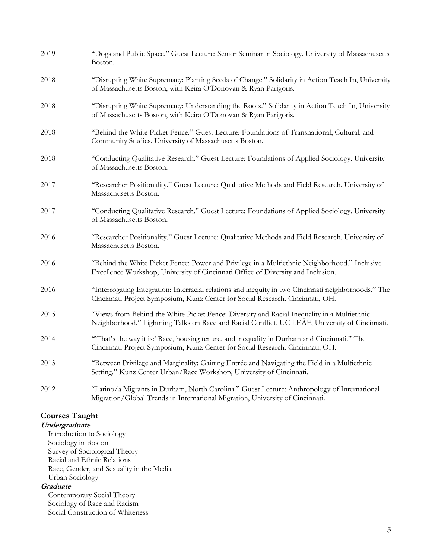| 2019 | "Dogs and Public Space." Guest Lecture: Senior Seminar in Sociology. University of Massachusetts<br>Boston.                                                                                   |
|------|-----------------------------------------------------------------------------------------------------------------------------------------------------------------------------------------------|
| 2018 | "Disrupting White Supremacy: Planting Seeds of Change." Solidarity in Action Teach In, University<br>of Massachusetts Boston, with Keira O'Donovan & Ryan Parigoris.                          |
| 2018 | "Disrupting White Supremacy: Understanding the Roots." Solidarity in Action Teach In, University<br>of Massachusetts Boston, with Keira O'Donovan & Ryan Parigoris.                           |
| 2018 | "Behind the White Picket Fence." Guest Lecture: Foundations of Transnational, Cultural, and<br>Community Studies. University of Massachusetts Boston.                                         |
| 2018 | "Conducting Qualitative Research." Guest Lecture: Foundations of Applied Sociology. University<br>of Massachusetts Boston.                                                                    |
| 2017 | "Researcher Positionality." Guest Lecture: Qualitative Methods and Field Research. University of<br>Massachusetts Boston.                                                                     |
| 2017 | "Conducting Qualitative Research." Guest Lecture: Foundations of Applied Sociology. University<br>of Massachusetts Boston.                                                                    |
| 2016 | "Researcher Positionality." Guest Lecture: Qualitative Methods and Field Research. University of<br>Massachusetts Boston.                                                                     |
| 2016 | "Behind the White Picket Fence: Power and Privilege in a Multiethnic Neighborhood." Inclusive<br>Excellence Workshop, University of Cincinnati Office of Diversity and Inclusion.             |
| 2016 | "Interrogating Integration: Interracial relations and inequity in two Cincinnati neighborhoods." The<br>Cincinnati Project Symposium, Kunz Center for Social Research. Cincinnati, OH.        |
| 2015 | "Views from Behind the White Picket Fence: Diversity and Racial Inequality in a Multiethnic<br>Neighborhood." Lightning Talks on Race and Racial Conflict, UC LEAF, University of Cincinnati. |
| 2014 | "That's the way it is:' Race, housing tenure, and inequality in Durham and Cincinnati." The<br>Cincinnati Project Symposium, Kunz Center for Social Research. Cincinnati, OH.                 |
| 2013 | "Between Privilege and Marginality: Gaining Entrée and Navigating the Field in a Multiethnic<br>Setting." Kunz Center Urban/Race Workshop, University of Cincinnati.                          |
| 2012 | "Latino/a Migrants in Durham, North Carolina." Guest Lecture: Anthropology of International<br>Migration/Global Trends in International Migration, University of Cincinnati.                  |

### **Courses Taught**

**Undergraduate**

Introduction to Sociology Sociology in Boston Survey of Sociological Theory Racial and Ethnic Relations Race, Gender, and Sexuality in the Media Urban Sociology **Graduate**

Contemporary Social Theory Sociology of Race and Racism Social Construction of Whiteness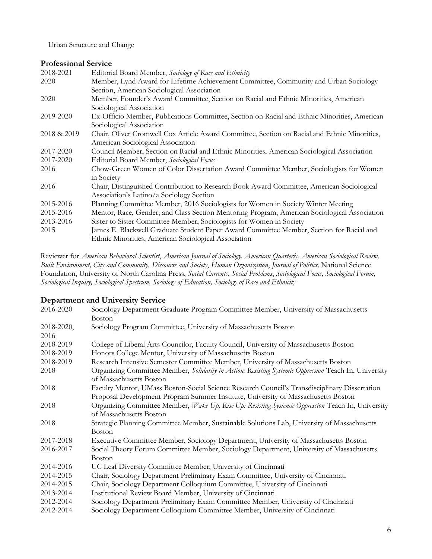Urban Structure and Change

### **Professional Service**

| 2018-2021   | Editorial Board Member, Sociology of Race and Ethnicity                                      |
|-------------|----------------------------------------------------------------------------------------------|
| 2020        | Member, Lynd Award for Lifetime Achievement Committee, Community and Urban Sociology         |
|             | Section, American Sociological Association                                                   |
| 2020        | Member, Founder's Award Committee, Section on Racial and Ethnic Minorities, American         |
|             | Sociological Association                                                                     |
| 2019-2020   | Ex-Officio Member, Publications Committee, Section on Racial and Ethnic Minorities, American |
|             | Sociological Association                                                                     |
| 2018 & 2019 | Chair, Oliver Cromwell Cox Article Award Committee, Section on Racial and Ethnic Minorities, |
|             | American Sociological Association                                                            |
| 2017-2020   | Council Member, Section on Racial and Ethnic Minorities, American Sociological Association   |
| 2017-2020   | Editorial Board Member, Sociological Focus                                                   |
| 2016        | Chow-Green Women of Color Dissertation Award Committee Member, Sociologists for Women        |
|             | in Society                                                                                   |
| 2016        | Chair, Distinguished Contribution to Research Book Award Committee, American Sociological    |
|             | Association's Latino/a Sociology Section                                                     |
| 2015-2016   | Planning Committee Member, 2016 Sociologists for Women in Society Winter Meeting             |
| 2015-2016   | Mentor, Race, Gender, and Class Section Mentoring Program, American Sociological Association |
| 2013-2016   | Sister to Sister Committee Member, Sociologists for Women in Society                         |
| 2015        | James E. Blackwell Graduate Student Paper Award Committee Member, Section for Racial and     |
|             | Ethnic Minorities, American Sociological Association                                         |

Reviewer for *American Behavioral Scientist*, *American Journal of Sociology, American Quarterly, American Sociological Review, Built Environment, City and Community, Discourse and Society*, *Human Organization*, *Journal of Politics,* National Science Foundation, University of North Carolina Press, *Social Currents*, *Social Problems*, *Sociological Focus, Sociological Forum, Sociological Inquiry, Sociological Spectrum, Sociology of Education, Sociology of Race and Ethnicity*

### **Department and University Service**

| 2016-2020  | Sociology Department Graduate Program Committee Member, University of Massachusetts                   |
|------------|-------------------------------------------------------------------------------------------------------|
|            | <b>Boston</b>                                                                                         |
| 2018-2020, | Sociology Program Committee, University of Massachusetts Boston                                       |
| 2016       |                                                                                                       |
| 2018-2019  | College of Liberal Arts Councilor, Faculty Council, University of Massachusetts Boston                |
| 2018-2019  | Honors College Mentor, University of Massachusetts Boston                                             |
| 2018-2019  | Research Intensive Semester Committee Member, University of Massachusetts Boston                      |
| 2018       | Organizing Committee Member, Solidarity in Action: Resisting Systemic Oppression Teach In, University |
|            | of Massachusetts Boston                                                                               |
| 2018       | Faculty Mentor, UMass Boston-Social Science Research Council's Transdisciplinary Dissertation         |
|            | Proposal Development Program Summer Institute, University of Massachusetts Boston                     |
| 2018       | Organizing Committee Member, Wake Up, Rise Up: Resisting Systemic Oppression Teach In, University     |
|            | of Massachusetts Boston                                                                               |
| 2018       | Strategic Planning Committee Member, Sustainable Solutions Lab, University of Massachusetts           |
|            | Boston                                                                                                |
| 2017-2018  | Executive Committee Member, Sociology Department, University of Massachusetts Boston                  |
| 2016-2017  | Social Theory Forum Committee Member, Sociology Department, University of Massachusetts               |
|            | <b>Boston</b>                                                                                         |
| 2014-2016  | UC Leaf Diversity Committee Member, University of Cincinnati                                          |
| 2014-2015  | Chair, Sociology Department Preliminary Exam Committee, University of Cincinnati                      |
| 2014-2015  | Chair, Sociology Department Colloquium Committee, University of Cincinnati                            |
| 2013-2014  | Institutional Review Board Member, University of Cincinnati                                           |
| 2012-2014  | Sociology Department Preliminary Exam Committee Member, University of Cincinnati                      |
| 2012-2014  | Sociology Department Colloquium Committee Member, University of Cincinnati                            |